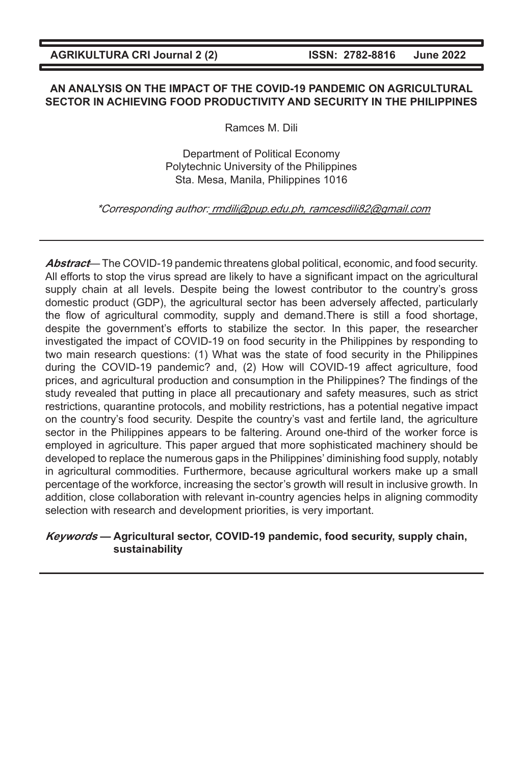#### **AN ANALYSIS ON THE IMPACT OF THE COVID-19 PANDEMIC ON AGRICULTURAL SECTOR IN ACHIEVING FOOD PRODUCTIVITY AND SECURITY IN THE PHILIPPINES**

Ramces M. Dili

Department of Political Economy Polytechnic University of the Philippines Sta. Mesa, Manila, Philippines 1016

### \*Corresponding author: rmdili@pup.edu.ph, ramcesdili82@gmail.com

**Abstract**— The COVID-19 pandemic threatens global political, economic, and food security. All efforts to stop the virus spread are likely to have a significant impact on the agricultural supply chain at all levels. Despite being the lowest contributor to the country's gross domestic product (GDP), the agricultural sector has been adversely affected, particularly the flow of agricultural commodity, supply and demand.There is still a food shortage, despite the government's efforts to stabilize the sector. In this paper, the researcher investigated the impact of COVID-19 on food security in the Philippines by responding to two main research questions: (1) What was the state of food security in the Philippines during the COVID-19 pandemic? and, (2) How will COVID-19 affect agriculture, food prices, and agricultural production and consumption in the Philippines? The findings of the study revealed that putting in place all precautionary and safety measures, such as strict restrictions, quarantine protocols, and mobility restrictions, has a potential negative impact on the country's food security. Despite the country's vast and fertile land, the agriculture sector in the Philippines appears to be faltering. Around one-third of the worker force is employed in agriculture. This paper argued that more sophisticated machinery should be developed to replace the numerous gaps in the Philippines' diminishing food supply, notably in agricultural commodities. Furthermore, because agricultural workers make up a small percentage of the workforce, increasing the sector's growth will result in inclusive growth. In addition, close collaboration with relevant in-country agencies helps in aligning commodity selection with research and development priorities, is very important.

## **Keywords — Agricultural sector, COVID-19 pandemic, food security, supply chain, sustainability**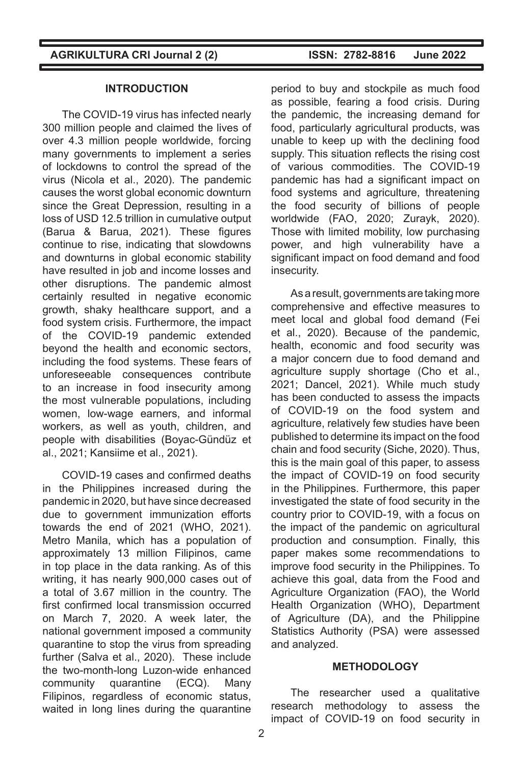#### **INTRODUCTION**

The COVID-19 virus has infected nearly 300 million people and claimed the lives of over 4.3 million people worldwide, forcing many governments to implement a series of lockdowns to control the spread of the virus (Nicola et al., 2020). The pandemic causes the worst global economic downturn since the Great Depression, resulting in a loss of USD 12.5 trillion in cumulative output (Barua & Barua, 2021). These figures continue to rise, indicating that slowdowns and downturns in global economic stability have resulted in job and income losses and other disruptions. The pandemic almost certainly resulted in negative economic growth, shaky healthcare support, and a food system crisis. Furthermore, the impact of the COVID-19 pandemic extended beyond the health and economic sectors, including the food systems. These fears of unforeseeable consequences contribute to an increase in food insecurity among the most vulnerable populations, including women, low-wage earners, and informal workers, as well as youth, children, and people with disabilities (Boyac-Gündüz et al., 2021; Kansiime et al., 2021).

COVID-19 cases and confirmed deaths in the Philippines increased during the pandemic in 2020, but have since decreased due to government immunization efforts towards the end of 2021 (WHO, 2021). Metro Manila, which has a population of approximately 13 million Filipinos, came in top place in the data ranking. As of this writing, it has nearly 900,000 cases out of a total of 3.67 million in the country. The first confirmed local transmission occurred on March 7, 2020. A week later, the national government imposed a community quarantine to stop the virus from spreading further (Salva et al., 2020). These include the two-month-long Luzon-wide enhanced community quarantine (ECQ). Many Filipinos, regardless of economic status, waited in long lines during the quarantine

period to buy and stockpile as much food as possible, fearing a food crisis. During the pandemic, the increasing demand for food, particularly agricultural products, was unable to keep up with the declining food supply. This situation reflects the rising cost of various commodities. The COVID-19 pandemic has had a significant impact on food systems and agriculture, threatening the food security of billions of people worldwide (FAO, 2020; Zurayk, 2020). Those with limited mobility, low purchasing power, and high vulnerability have a significant impact on food demand and food insecurity.

As a result, governments are taking more comprehensive and effective measures to meet local and global food demand (Fei et al., 2020). Because of the pandemic, health, economic and food security was a major concern due to food demand and agriculture supply shortage (Cho et al., 2021; Dancel, 2021). While much study has been conducted to assess the impacts of COVID-19 on the food system and agriculture, relatively few studies have been published to determine its impact on the food chain and food security (Siche, 2020). Thus, this is the main goal of this paper, to assess the impact of COVID-19 on food security in the Philippines. Furthermore, this paper investigated the state of food security in the country prior to COVID-19, with a focus on the impact of the pandemic on agricultural production and consumption. Finally, this paper makes some recommendations to improve food security in the Philippines. To achieve this goal, data from the Food and Agriculture Organization (FAO), the World Health Organization (WHO), Department of Agriculture (DA), and the Philippine Statistics Authority (PSA) were assessed and analyzed.

### **METHODOLOGY**

The researcher used a qualitative research methodology to assess the impact of COVID-19 on food security in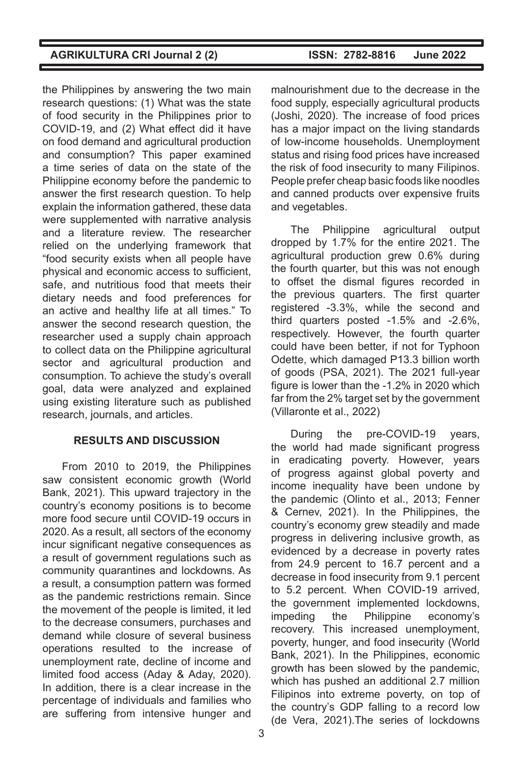the Philippines by answering the two main research questions: (1) What was the state of food security in the Philippines prior to COVID-19, and (2) What effect did it have on food demand and agricultural production and consumption? This paper examined a time series of data on the state of the Philippine economy before the pandemic to answer the first research question. To help explain the information gathered, these data were supplemented with narrative analysis and a literature review. The researcher relied on the underlying framework that "food security exists when all people have physical and economic access to sufficient, safe, and nutritious food that meets their dietary needs and food preferences for an active and healthy life at all times." To answer the second research question, the researcher used a supply chain approach to collect data on the Philippine agricultural sector and agricultural production and consumption. To achieve the study's overall goal, data were analyzed and explained using existing literature such as published research, journals, and articles.

### **RESULTS AND DISCUSSION**

From 2010 to 2019, the Philippines saw consistent economic growth (World Bank, 2021). This upward trajectory in the country's economy positions is to become more food secure until COVID-19 occurs in 2020. As a result, all sectors of the economy incur significant negative consequences as a result of government regulations such as community quarantines and lockdowns. As a result, a consumption pattern was formed as the pandemic restrictions remain. Since the movement of the people is limited, it led to the decrease consumers, purchases and demand while closure of several business operations resulted to the increase of unemployment rate, decline of income and limited food access (Aday & Aday, 2020). In addition, there is a clear increase in the percentage of individuals and families who are suffering from intensive hunger and

malnourishment due to the decrease in the food supply, especially agricultural products (Joshi, 2020). The increase of food prices has a major impact on the living standards of low-income households. Unemployment status and rising food prices have increased the risk of food insecurity to many Filipinos. People prefer cheap basic foods like noodles and canned products over expensive fruits and vegetables.

The Philippine agricultural output dropped by 1.7% for the entire 2021. The agricultural production grew 0.6% during the fourth quarter, but this was not enough to offset the dismal figures recorded in the previous quarters. The first quarter registered -3.3%, while the second and third quarters posted -1.5% and -2.6%, respectively. However, the fourth quarter could have been better, if not for Typhoon Odette, which damaged P13.3 billion worth of goods (PSA, 2021). The 2021 full-year figure is lower than the -1.2% in 2020 which far from the 2% target set by the government (Villaronte et al., 2022)

During the pre-COVID-19 years, the world had made significant progress in eradicating poverty. However, years of progress against global poverty and income inequality have been undone by the pandemic (Olinto et al., 2013; Fenner & Cernev, 2021). In the Philippines, the country's economy grew steadily and made progress in delivering inclusive growth, as evidenced by a decrease in poverty rates from 24.9 percent to 16.7 percent and a decrease in food insecurity from 9.1 percent to 5.2 percent. When COVID-19 arrived, the government implemented lockdowns, impeding the Philippine economy's recovery. This increased unemployment, poverty, hunger, and food insecurity (World Bank, 2021). In the Philippines, economic growth has been slowed by the pandemic, which has pushed an additional 2.7 million Filipinos into extreme poverty, on top of the country's GDP falling to a record low (de Vera, 2021).The series of lockdowns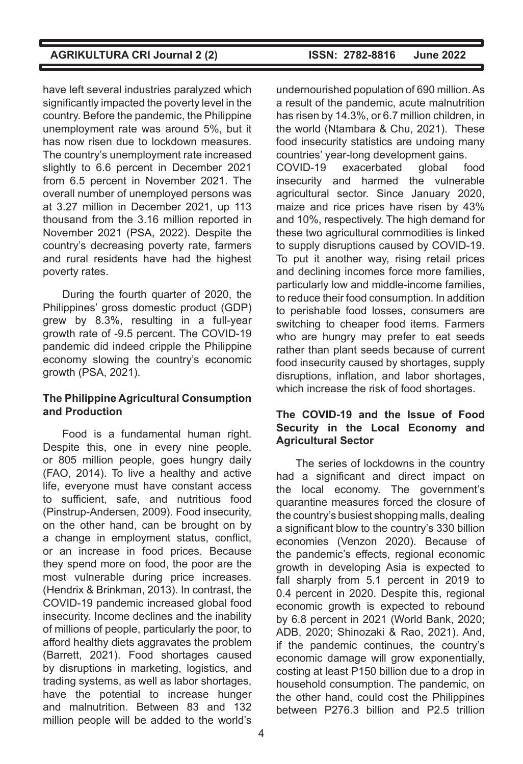have left several industries paralyzed which significantly impacted the poverty level in the country. Before the pandemic, the Philippine unemployment rate was around 5%, but it has now risen due to lockdown measures. The country's unemployment rate increased slightly to 6.6 percent in December 2021 from 6.5 percent in November 2021. The overall number of unemployed persons was at 3.27 million in December 2021, up 113 thousand from the 3.16 million reported in November 2021 (PSA, 2022). Despite the country's decreasing poverty rate, farmers and rural residents have had the highest poverty rates.

During the fourth quarter of 2020, the Philippines' gross domestic product (GDP) grew by 8.3%, resulting in a full-year growth rate of -9.5 percent. The COVID-19 pandemic did indeed cripple the Philippine economy slowing the country's economic growth (PSA, 2021).

### **The Philippine Agricultural Consumption and Production**

Food is a fundamental human right. Despite this, one in every nine people, or 805 million people, goes hungry daily (FAO, 2014). To live a healthy and active life, everyone must have constant access to sufficient, safe, and nutritious food (Pinstrup-Andersen, 2009). Food insecurity, on the other hand, can be brought on by a change in employment status, conflict, or an increase in food prices. Because they spend more on food, the poor are the most vulnerable during price increases. (Hendrix & Brinkman, 2013). In contrast, the COVID-19 pandemic increased global food insecurity. Income declines and the inability of millions of people, particularly the poor, to afford healthy diets aggravates the problem (Barrett, 2021). Food shortages caused by disruptions in marketing, logistics, and trading systems, as well as labor shortages, have the potential to increase hunger and malnutrition. Between 83 and 132 million people will be added to the world's

undernourished population of 690 million. As a result of the pandemic, acute malnutrition has risen by 14.3%, or 6.7 million children, in the world (Ntambara & Chu, 2021). These food insecurity statistics are undoing many countries' year-long development gains. COVID-19 exacerbated global food insecurity and harmed the vulnerable agricultural sector. Since January 2020, maize and rice prices have risen by 43% and 10%, respectively. The high demand for these two agricultural commodities is linked to supply disruptions caused by COVID-19. To put it another way, rising retail prices and declining incomes force more families, particularly low and middle-income families, to reduce their food consumption. In addition to perishable food losses, consumers are switching to cheaper food items. Farmers who are hungry may prefer to eat seeds rather than plant seeds because of current food insecurity caused by shortages, supply disruptions, inflation, and labor shortages, which increase the risk of food shortages.

### **The COVID-19 and the Issue of Food Security in the Local Economy and Agricultural Sector**

The series of lockdowns in the country had a significant and direct impact on the local economy. The government's quarantine measures forced the closure of the country's busiest shopping malls, dealing a significant blow to the country's 330 billion economies (Venzon 2020). Because of the pandemic's effects, regional economic growth in developing Asia is expected to fall sharply from 5.1 percent in 2019 to 0.4 percent in 2020. Despite this, regional economic growth is expected to rebound by 6.8 percent in 2021 (World Bank, 2020; ADB, 2020; Shinozaki & Rao, 2021). And, if the pandemic continues, the country's economic damage will grow exponentially, costing at least P150 billion due to a drop in household consumption. The pandemic, on the other hand, could cost the Philippines between P276.3 billion and P2.5 trillion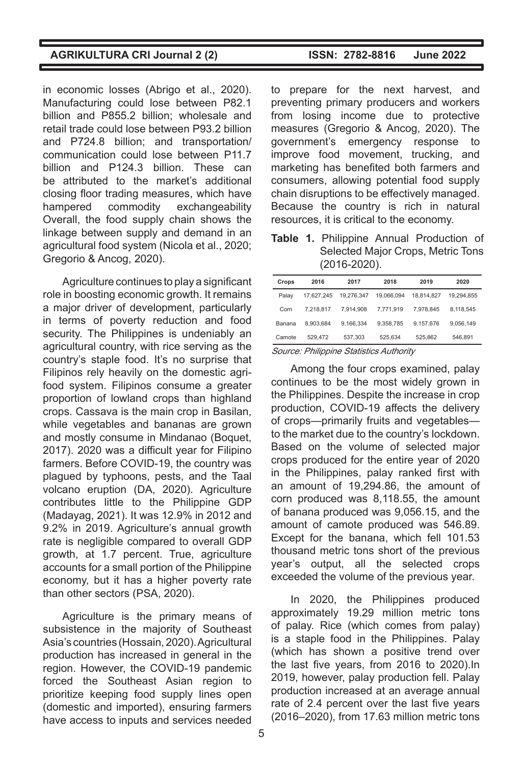in economic losses (Abrigo et al., 2020). Manufacturing could lose between P82.1 billion and P855.2 billion; wholesale and retail trade could lose between P93.2 billion and P724.8 billion; and transportation/ communication could lose between P11.7 billion and P124.3 billion. These can be attributed to the market's additional closing floor trading measures, which have hampered commodity exchangeability Overall, the food supply chain shows the linkage between supply and demand in an agricultural food system (Nicola et al., 2020; Gregorio & Ancog, 2020).

Agriculture continues to play a significant role in boosting economic growth. It remains a major driver of development, particularly in terms of poverty reduction and food security. The Philippines is undeniably an agricultural country, with rice serving as the country's staple food. It's no surprise that Filipinos rely heavily on the domestic agrifood system. Filipinos consume a greater proportion of lowland crops than highland crops. Cassava is the main crop in Basilan, while vegetables and bananas are grown and mostly consume in Mindanao (Boquet, 2017). 2020 was a difficult year for Filipino farmers. Before COVID-19, the country was plagued by typhoons, pests, and the Taal volcano eruption (DA, 2020). Agriculture contributes little to the Philippine GDP (Madayag, 2021). It was 12.9% in 2012 and 9.2% in 2019. Agriculture's annual growth rate is negligible compared to overall GDP growth, at 1.7 percent. True, agriculture accounts for a small portion of the Philippine economy, but it has a higher poverty rate than other sectors (PSA, 2020).

Agriculture is the primary means of subsistence in the majority of Southeast Asia's countries (Hossain, 2020). Agricultural production has increased in general in the region. However, the COVID-19 pandemic forced the Southeast Asian region to prioritize keeping food supply lines open (domestic and imported), ensuring farmers have access to inputs and services needed

to prepare for the next harvest, and preventing primary producers and workers from losing income due to protective measures (Gregorio & Ancog, 2020). The government's emergency response to improve food movement, trucking, and marketing has benefited both farmers and consumers, allowing potential food supply chain disruptions to be effectively managed. Because the country is rich in natural resources, it is critical to the economy.

**Table 1.** Philippine Annual Production of Selected Major Crops, Metric Tons (2016-2020).

| Crops  | 2016                  | 2017       | 2018                    | 2019       | 2020       |
|--------|-----------------------|------------|-------------------------|------------|------------|
| Palav  | 17.627.245            | 19.276.347 | 19.066.094              | 18.814.827 | 19.294.855 |
| Corn   | 7.218.817             | 7.914.908  | 7.771.919               | 7.978.845  | 8.118.545  |
| Banana | 8.903.684             | 9.166.334  | 9.358.785               | 9.157.676  | 9.056.149  |
| Camote | 529.472               | 537.303    | 525.634                 | 525.862    | 546.891    |
|        | $- \cdot \cdot \cdot$ | _______    | $\sim$<br>$\sim$ $\sim$ |            |            |

Source: Philippine Statistics Authority

Among the four crops examined, palay continues to be the most widely grown in the Philippines. Despite the increase in crop production, COVID-19 affects the delivery of crops—primarily fruits and vegetables to the market due to the country's lockdown. Based on the volume of selected major crops produced for the entire year of 2020 in the Philippines, palay ranked first with an amount of 19,294.86, the amount of corn produced was 8,118.55, the amount of banana produced was 9,056.15, and the amount of camote produced was 546.89. Except for the banana, which fell 101.53 thousand metric tons short of the previous year's output, all the selected crops exceeded the volume of the previous year.

In 2020, the Philippines produced approximately 19.29 million metric tons of palay. Rice (which comes from palay) is a staple food in the Philippines. Palay (which has shown a positive trend over the last five years, from 2016 to 2020).In 2019, however, palay production fell. Palay production increased at an average annual rate of 2.4 percent over the last five years (2016–2020), from 17.63 million metric tons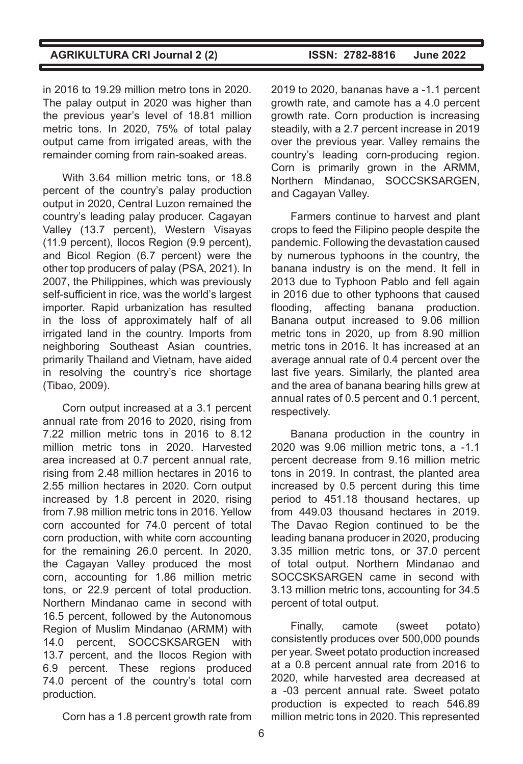in 2016 to 19.29 million metro tons in 2020. The palay output in 2020 was higher than the previous year's level of 18.81 million metric tons. In 2020, 75% of total palay output came from irrigated areas, with the remainder coming from rain-soaked areas.

With 3.64 million metric tons, or 18.8 percent of the country's palay production output in 2020, Central Luzon remained the country's leading palay producer. Cagayan Valley (13.7 percent), Western Visayas (11.9 percent), Ilocos Region (9.9 percent), and Bicol Region (6.7 percent) were the other top producers of palay (PSA, 2021). In 2007, the Philippines, which was previously self-sufficient in rice, was the world's largest importer. Rapid urbanization has resulted in the loss of approximately half of all irrigated land in the country. Imports from neighboring Southeast Asian countries, primarily Thailand and Vietnam, have aided in resolving the country's rice shortage (Tibao, 2009).

Corn output increased at a 3.1 percent annual rate from 2016 to 2020, rising from 7.22 million metric tons in 2016 to 8.12 million metric tons in 2020. Harvested area increased at 0.7 percent annual rate, rising from 2.48 million hectares in 2016 to 2.55 million hectares in 2020. Corn output increased by 1.8 percent in 2020, rising from 7.98 million metric tons in 2016. Yellow corn accounted for 74.0 percent of total corn production, with white corn accounting for the remaining 26.0 percent. In 2020, the Cagayan Valley produced the most corn, accounting for 1.86 million metric tons, or 22.9 percent of total production. Northern Mindanao came in second with 16.5 percent, followed by the Autonomous Region of Muslim Mindanao (ARMM) with 14.0 percent, SOCCSKSARGEN with 13.7 percent, and the Ilocos Region with 6.9 percent. These regions produced 74.0 percent of the country's total corn production.

2019 to 2020, bananas have a -1.1 percent growth rate, and camote has a 4.0 percent growth rate. Corn production is increasing steadily, with a 2.7 percent increase in 2019 over the previous year. Valley remains the country's leading corn-producing region. Corn is primarily grown in the ARMM, Northern Mindanao, SOCCSKSARGEN, and Cagayan Valley.

Farmers continue to harvest and plant crops to feed the Filipino people despite the pandemic. Following the devastation caused by numerous typhoons in the country, the banana industry is on the mend. It fell in 2013 due to Typhoon Pablo and fell again in 2016 due to other typhoons that caused flooding, affecting banana production. Banana output increased to 9.06 million metric tons in 2020, up from 8.90 million metric tons in 2016. It has increased at an average annual rate of 0.4 percent over the last five years. Similarly, the planted area and the area of banana bearing hills grew at annual rates of 0.5 percent and 0.1 percent, respectively.

Banana production in the country in 2020 was 9.06 million metric tons, a -1.1 percent decrease from 9.16 million metric tons in 2019. In contrast, the planted area increased by 0.5 percent during this time period to 451.18 thousand hectares, up from 449.03 thousand hectares in 2019. The Davao Region continued to be the leading banana producer in 2020, producing 3.35 million metric tons, or 37.0 percent of total output. Northern Mindanao and SOCCSKSARGEN came in second with 3.13 million metric tons, accounting for 34.5 percent of total output.

Finally, camote (sweet potato) consistently produces over 500,000 pounds per year. Sweet potato production increased at a 0.8 percent annual rate from 2016 to 2020, while harvested area decreased at a -03 percent annual rate. Sweet potato production is expected to reach 546.89 million metric tons in 2020. This represented

Corn has a 1.8 percent growth rate from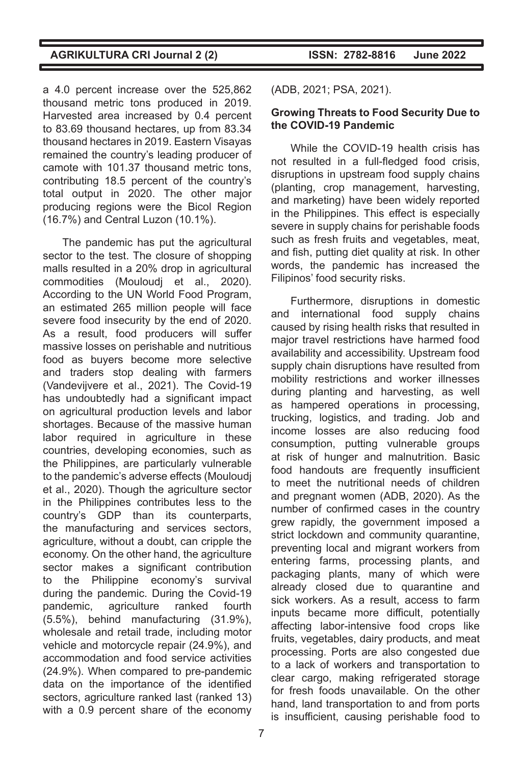a 4.0 percent increase over the 525,862 thousand metric tons produced in 2019. Harvested area increased by 0.4 percent to 83.69 thousand hectares, up from 83.34 thousand hectares in 2019. Eastern Visayas remained the country's leading producer of camote with 101.37 thousand metric tons, contributing 18.5 percent of the country's total output in 2020. The other major producing regions were the Bicol Region (16.7%) and Central Luzon (10.1%).

The pandemic has put the agricultural sector to the test. The closure of shopping malls resulted in a 20% drop in agricultural commodities (Mouloudj et al., 2020). According to the UN World Food Program, an estimated 265 million people will face severe food insecurity by the end of 2020. As a result, food producers will suffer massive losses on perishable and nutritious food as buyers become more selective and traders stop dealing with farmers (Vandevijvere et al., 2021). The Covid-19 has undoubtedly had a significant impact on agricultural production levels and labor shortages. Because of the massive human labor required in agriculture in these countries, developing economies, such as the Philippines, are particularly vulnerable to the pandemic's adverse effects (Mouloudj et al., 2020). Though the agriculture sector in the Philippines contributes less to the country's GDP than its counterparts, the manufacturing and services sectors, agriculture, without a doubt, can cripple the economy. On the other hand, the agriculture sector makes a significant contribution to the Philippine economy's survival during the pandemic. During the Covid-19 pandemic, agriculture ranked fourth (5.5%), behind manufacturing (31.9%), wholesale and retail trade, including motor vehicle and motorcycle repair (24.9%), and accommodation and food service activities (24.9%). When compared to pre-pandemic data on the importance of the identified sectors, agriculture ranked last (ranked 13) with a 0.9 percent share of the economy

**AGRIKULTURA CRI Journal 2 (2) ISSN: 2782-8816 June 2022**

(ADB, 2021; PSA, 2021).

#### **Growing Threats to Food Security Due to the COVID-19 Pandemic**

While the COVID-19 health crisis has not resulted in a full-fledged food crisis, disruptions in upstream food supply chains (planting, crop management, harvesting, and marketing) have been widely reported in the Philippines. This effect is especially severe in supply chains for perishable foods such as fresh fruits and vegetables, meat, and fish, putting diet quality at risk. In other words, the pandemic has increased the Filipinos' food security risks.

Furthermore, disruptions in domestic and international food supply chains caused by rising health risks that resulted in major travel restrictions have harmed food availability and accessibility. Upstream food supply chain disruptions have resulted from mobility restrictions and worker illnesses during planting and harvesting, as well as hampered operations in processing, trucking, logistics, and trading. Job and income losses are also reducing food consumption, putting vulnerable groups at risk of hunger and malnutrition. Basic food handouts are frequently insufficient to meet the nutritional needs of children and pregnant women (ADB, 2020). As the number of confirmed cases in the country grew rapidly, the government imposed a strict lockdown and community quarantine, preventing local and migrant workers from entering farms, processing plants, and packaging plants, many of which were already closed due to quarantine and sick workers. As a result, access to farm inputs became more difficult, potentially affecting labor-intensive food crops like fruits, vegetables, dairy products, and meat processing. Ports are also congested due to a lack of workers and transportation to clear cargo, making refrigerated storage for fresh foods unavailable. On the other hand, land transportation to and from ports is insufficient, causing perishable food to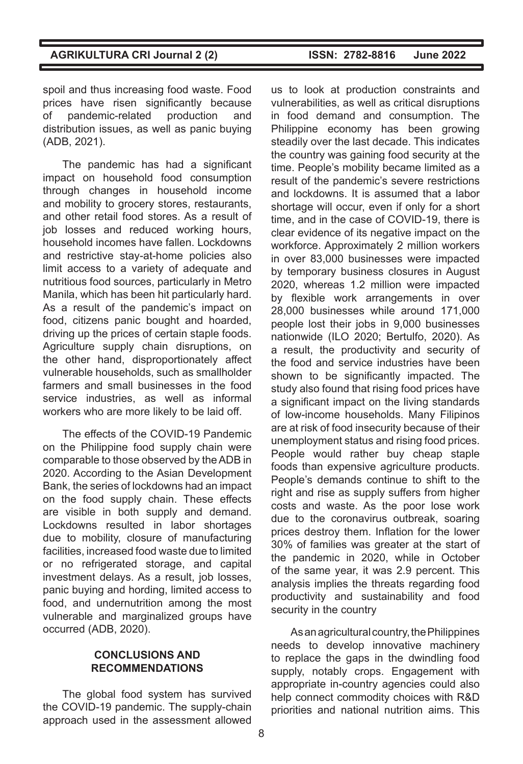spoil and thus increasing food waste. Food prices have risen significantly because of pandemic-related production and distribution issues, as well as panic buying (ADB, 2021).

The pandemic has had a significant impact on household food consumption through changes in household income and mobility to grocery stores, restaurants, and other retail food stores. As a result of job losses and reduced working hours, household incomes have fallen. Lockdowns and restrictive stay-at-home policies also limit access to a variety of adequate and nutritious food sources, particularly in Metro Manila, which has been hit particularly hard. As a result of the pandemic's impact on food, citizens panic bought and hoarded, driving up the prices of certain staple foods. Agriculture supply chain disruptions, on the other hand, disproportionately affect vulnerable households, such as smallholder farmers and small businesses in the food service industries, as well as informal workers who are more likely to be laid off.

The effects of the COVID-19 Pandemic on the Philippine food supply chain were comparable to those observed by the ADB in 2020. According to the Asian Development Bank, the series of lockdowns had an impact on the food supply chain. These effects are visible in both supply and demand. Lockdowns resulted in labor shortages due to mobility, closure of manufacturing facilities, increased food waste due to limited or no refrigerated storage, and capital investment delays. As a result, job losses, panic buying and hording, limited access to food, and undernutrition among the most vulnerable and marginalized groups have occurred (ADB, 2020).

### **CONCLUSIONS AND RECOMMENDATIONS**

The global food system has survived the COVID-19 pandemic. The supply-chain approach used in the assessment allowed us to look at production constraints and vulnerabilities, as well as critical disruptions in food demand and consumption. The Philippine economy has been growing steadily over the last decade. This indicates the country was gaining food security at the time. People's mobility became limited as a result of the pandemic's severe restrictions and lockdowns. It is assumed that a labor shortage will occur, even if only for a short time, and in the case of COVID-19, there is clear evidence of its negative impact on the workforce. Approximately 2 million workers in over 83,000 businesses were impacted by temporary business closures in August 2020, whereas 1.2 million were impacted by flexible work arrangements in over 28,000 businesses while around 171,000 people lost their jobs in 9,000 businesses nationwide (ILO 2020; Bertulfo, 2020). As a result, the productivity and security of the food and service industries have been shown to be significantly impacted. The study also found that rising food prices have a significant impact on the living standards of low-income households. Many Filipinos are at risk of food insecurity because of their unemployment status and rising food prices. People would rather buy cheap staple foods than expensive agriculture products. People's demands continue to shift to the right and rise as supply suffers from higher costs and waste. As the poor lose work due to the coronavirus outbreak, soaring prices destroy them. Inflation for the lower 30% of families was greater at the start of the pandemic in 2020, while in October of the same year, it was 2.9 percent. This analysis implies the threats regarding food productivity and sustainability and food security in the country

As an agricultural country, the Philippines needs to develop innovative machinery to replace the gaps in the dwindling food supply, notably crops. Engagement with appropriate in-country agencies could also help connect commodity choices with R&D priorities and national nutrition aims. This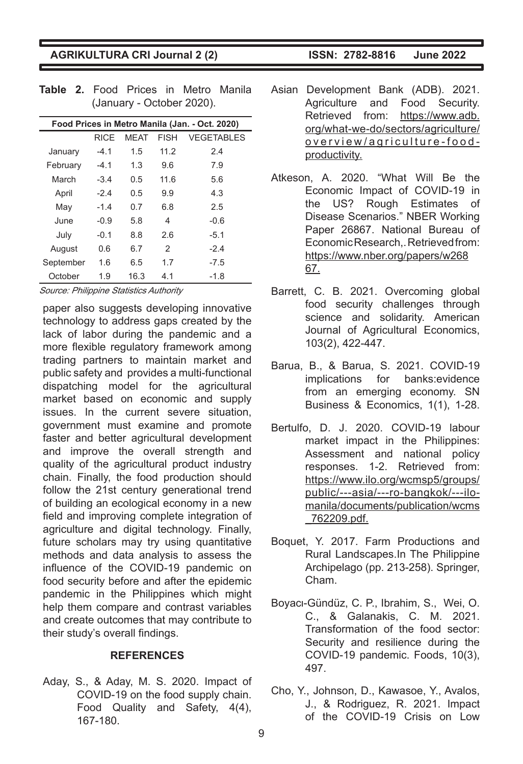| 1000 Prices III Metro Manna (Jan. - Oct. 2020) |             |             |             |                   |  |  |  |
|------------------------------------------------|-------------|-------------|-------------|-------------------|--|--|--|
|                                                | <b>RICE</b> | <b>MEAT</b> | <b>FISH</b> | <b>VEGETABLES</b> |  |  |  |
| January                                        | $-4.1$      | 1.5         | 11.2        | 2.4               |  |  |  |
| February                                       | $-4.1$      | 1.3         | 9.6         | 7.9               |  |  |  |
| March                                          | $-3.4$      | 0.5         | 11.6        | 5.6               |  |  |  |
| April                                          | $-2.4$      | 0.5         | 9.9         | 4.3               |  |  |  |
| May                                            | $-1.4$      | 0.7         | 6.8         | 2.5               |  |  |  |
| June                                           | $-0.9$      | 5.8         | 4           | $-0.6$            |  |  |  |
| July                                           | $-0.1$      | 8.8         | 26          | $-5.1$            |  |  |  |
| August                                         | 0.6         | 6.7         | 2           | $-2.4$            |  |  |  |
| September                                      | 1.6         | 6.5         | 1.7         | $-7.5$            |  |  |  |
| October                                        | 1.9         | 16.3        | 4.1         | $-1.8$            |  |  |  |

**Table 2.** Food Prices in Metro Manila (January - October 2020). **Food Prices in Metro Manila (Jan. - Oct. 2020)**

Source: Philippine Statistics Authority

paper also suggests developing innovative technology to address gaps created by the lack of labor during the pandemic and a more flexible regulatory framework among trading partners to maintain market and public safety and provides a multi-functional dispatching model for the agricultural market based on economic and supply issues. In the current severe situation, government must examine and promote faster and better agricultural development and improve the overall strength and quality of the agricultural product industry chain. Finally, the food production should follow the 21st century generational trend of building an ecological economy in a new field and improving complete integration of agriculture and digital technology. Finally, future scholars may try using quantitative methods and data analysis to assess the influence of the COVID-19 pandemic on food security before and after the epidemic pandemic in the Philippines which might help them compare and contrast variables and create outcomes that may contribute to their study's overall findings.

#### **REFERENCES**

Aday, S., & Aday, M. S. 2020. Impact of COVID-19 on the food supply chain. Food Quality and Safety, 4(4), 167-180.

- Asian Development Bank (ADB). 2021. Agriculture and Food Security. Retrieved from: https://www.adb. org/what-we-do/sectors/agriculture/ overview/agriculture-foodproductivity.
- Atkeson, A. 2020. "What Will Be the Economic Impact of COVID-19 in the US? Rough Estimates of Disease Scenarios." NBER Working Paper 26867. National Bureau of Economic Research,. Retrieved from: https://www.nber.org/papers/w268 67.
- Barrett, C. B. 2021. Overcoming global food security challenges through science and solidarity. American Journal of Agricultural Economics, 103(2), 422-447.
- Barua, B., & Barua, S. 2021. COVID-19 implications for banks:evidence from an emerging economy. SN Business & Economics, 1(1), 1-28.
- Bertulfo, D. J. 2020. COVID-19 labour market impact in the Philippines: Assessment and national policy responses. 1-2. Retrieved from: https://www.ilo.org/wcmsp5/groups/ public/---asia/---ro-bangkok/---ilomanila/documents/publication/wcms \_762209.pdf.
- Boquet, Y. 2017. Farm Productions and Rural Landscapes.In The Philippine Archipelago (pp. 213-258). Springer, Cham.
- Boyacι-Gündüz, C. P., Ibrahim, S., Wei, O. C., & Galanakis, C. M. 2021. Transformation of the food sector: Security and resilience during the COVID-19 pandemic. Foods, 10(3), 497.
- Cho, Y., Johnson, D., Kawasoe, Y., Avalos, J., & Rodriguez, R. 2021. Impact of the COVID-19 Crisis on Low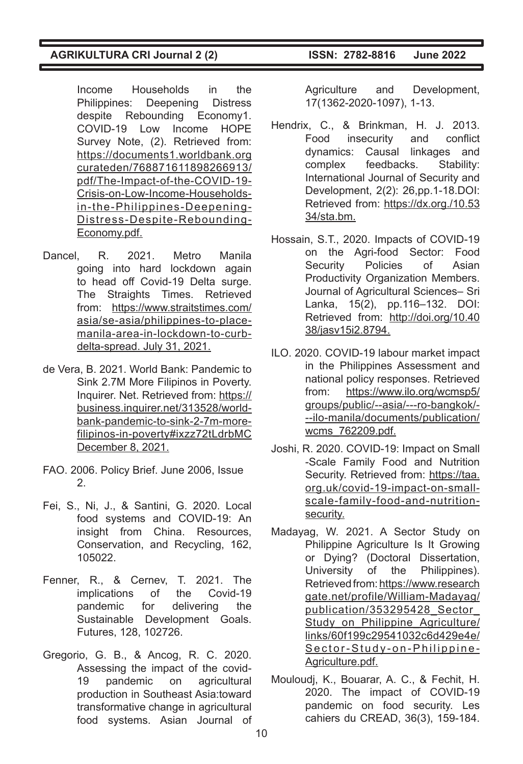Income Households in the Philippines: Deepening Distress despite Rebounding Economy1. COVID-19 Low Income HOPE Survey Note, (2). Retrieved from: https://documents1.worldbank.org curateden/768871611898266913/ pdf/The-Impact-of-the-COVID-19- Crisis-on-Low-Income-Householdsin-the-Philippines-Deepening-Distress-Despite-Rebounding-Economy.pdf.

- Dancel, R. 2021. Metro Manila going into hard lockdown again to head off Covid-19 Delta surge. The Straights Times. Retrieved from: https://www.straitstimes.com/ asia/se-asia/philippines-to-placemanila-area-in-lockdown-to-curbdelta-spread. July 31, 2021.
- de Vera, B. 2021. World Bank: Pandemic to Sink 2.7M More Filipinos in Poverty. Inquirer. Net. Retrieved from: https:// business.inquirer.net/313528/worldbank-pandemic-to-sink-2-7m-morefilipinos-in-poverty#ixzz72tLdrbMC December 8, 2021.
- FAO. 2006. Policy Brief. June 2006, Issue 2.
- Fei, S., Ni, J., & Santini, G. 2020. Local food systems and COVID-19: An insight from China. Resources, Conservation, and Recycling, 162, 105022.
- Fenner, R., & Cernev, T. 2021. The<br>implications of the Covid-19 implications of the pandemic for delivering the Sustainable Development Goals. Futures, 128, 102726.
- Gregorio, G. B., & Ancog, R. C. 2020. Assessing the impact of the covid-19 pandemic on agricultural production in Southeast Asia:toward transformative change in agricultural food systems. Asian Journal of

Agriculture and Development, 17(1362-2020-1097), 1-13.

- Hendrix, C., & Brinkman, H. J. 2013. Food insecurity and conflict dynamics: Causal linkages and complex feedbacks. Stability: International Journal of Security and Development, 2(2): 26,pp.1-18.DOI: Retrieved from: https://dx.org./10.53 34/sta.bm.
- Hossain, S.T., 2020. Impacts of COVID-19 on the Agri-food Sector: Food Security Policies of Asian Productivity Organization Members. Journal of Agricultural Sciences– Sri Lanka, 15(2), pp.116–132. DOI: Retrieved from: http://doi.org/10.40 38/jasv15i2.8794.
- ILO. 2020. COVID-19 labour market impact in the Philippines Assessment and national policy responses. Retrieved from: https://www.ilo.org/wcmsp5/ groups/public/--asia/---ro-bangkok/- --ilo-manila/documents/publication/ wcms\_762209.pdf.
- Joshi, R. 2020. COVID-19: Impact on Small -Scale Family Food and Nutrition Security. Retrieved from: https://taa. org.uk/covid-19-impact-on-smallscale-family-food-and-nutritionsecurity.
- Madayag, W. 2021. A Sector Study on Philippine Agriculture Is It Growing or Dying? (Doctoral Dissertation, University of the Philippines). Retrieved from: https://www.research gate.net/profile/William-Madayag/ publication/353295428\_Sector\_ Study on Philippine Agriculture/ links/60f199c29541032c6d429e4e/ Sector-Study-on-Philippine-Agriculture.pdf.
- Mouloudj, K., Bouarar, A. C., & Fechit, H. 2020. The impact of COVID-19 pandemic on food security. Les cahiers du CREAD, 36(3), 159-184.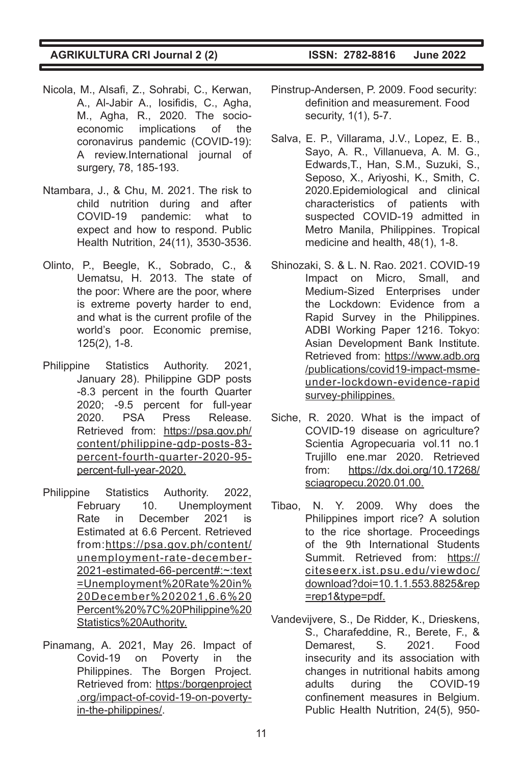- Nicola, M., Alsafi, Z., Sohrabi, C., Kerwan, A., Al-Jabir A., Iosifidis, C., Agha, M., Agha, R., 2020. The socioeconomic implications of the coronavirus pandemic (COVID-19): A review.International journal of surgery, 78, 185-193.
- Ntambara, J., & Chu, M. 2021. The risk to child nutrition during and after COVID-19 pandemic: what to expect and how to respond. Public Health Nutrition, 24(11), 3530-3536.
- Olinto, P., Beegle, K., Sobrado, C., & Uematsu, H. 2013. The state of the poor: Where are the poor, where is extreme poverty harder to end, and what is the current profile of the world's poor. Economic premise, 125(2), 1-8.
- Philippine Statistics Authority. 2021, January 28). Philippine GDP posts -8.3 percent in the fourth Quarter 2020; -9.5 percent for full-year 2020. PSA Press Release. Retrieved from: https://psa.gov.ph/ content/philippine-gdp-posts-83 percent-fourth-quarter-2020-95 percent-full-year-2020.
- Philippine Statistics Authority. 2022, February 10. Unemployment Rate in December 2021 is Estimated at 6.6 Percent. Retrieved from:https://psa.gov.ph/content/ unemployment-rate-december-2021-estimated-66-percent#:~:text =Unemployment%20Rate%20in% 20December%202021,6.6%20 Percent%20%7C%20Philippine%20 Statistics%20Authority.
- Pinamang, A. 2021, May 26. Impact of Covid-19 on Poverty in the Philippines. The Borgen Project. Retrieved from: https:/borgenproject .org/impact-of-covid-19-on-povertyin-the-philippines/.

- Pinstrup-Andersen, P. 2009. Food security: definition and measurement. Food security, 1(1), 5-7.
- Salva, E. P., Villarama, J.V., Lopez, E. B., Sayo, A. R., Villanueva, A. M. G., Edwards,T., Han, S.M., Suzuki, S., Seposo, X., Ariyoshi, K., Smith, C. 2020.Epidemiological and clinical characteristics of patients with suspected COVID-19 admitted in Metro Manila, Philippines. Tropical medicine and health, 48(1), 1-8.
- Shinozaki, S. & L. N. Rao. 2021. COVID-19 Impact on Micro, Small, and Medium-Sized Enterprises under the Lockdown: Evidence from a Rapid Survey in the Philippines. ADBI Working Paper 1216. Tokyo: Asian Development Bank Institute. Retrieved from: https://www.adb.org /publications/covid19-impact-msmeunder-lockdown-evidence-rapid survey-philippines.
- Siche, R. 2020. What is the impact of COVID-19 disease on agriculture? Scientia Agropecuaria vol.11 no.1 Trujillo ene.mar 2020. Retrieved from: https://dx.doi.org/10.17268/ sciagropecu.2020.01.00.
- Tibao, N. Y. 2009. Why does the Philippines import rice? A solution to the rice shortage. Proceedings of the 9th International Students Summit. Retrieved from: https:// citeseerx.ist.psu.edu/viewdoc/ download?doi=10.1.1.553.8825&rep =rep1&type=pdf.
- Vandevijvere, S., De Ridder, K., Drieskens, S., Charafeddine, R., Berete, F., & Demarest, S. 2021. Food insecurity and its association with changes in nutritional habits among adults during the COVID-19 confinement measures in Belgium. Public Health Nutrition, 24(5), 950-